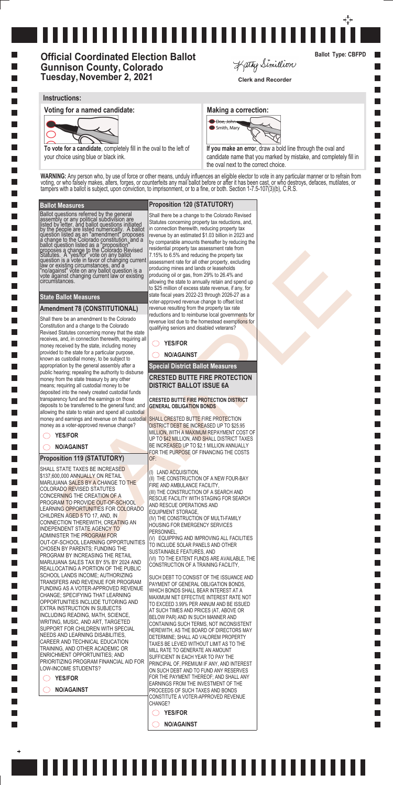#### **Ballot Measures**

Ballot questions referred by the general assembly or any political subdivision are listed by letter, and ballot questions initiated by the people are listed numerically. A ballot question listed as an "amendment" proposes a change to the Colorado constitution, and a ballot question listed as a "proposition" proposes a change to the Colorado Revised Statutes. A "yes/for" vote on any ballot question is a vote in favor of changing current law or existing circumstances, and a "no/against" vote on any ballot question is a vote against changing current law or existing circumstances.

#### **State Ballot Measures**

**Special District Ballot Measures**

### **Amendment 78 (CONSTITUTIONAL)**

strain de Correspondente de Correspondente de la construction de la construction de la construction de la construction de la construction de la construction de la construction de la construction de la construction de la co Shall there be an amendment to the Colorado Constitution and a change to the Colorado Revised Statutes concerning money that the state receives, and, in connection therewith, requiring all money received by the state, including money provided to the state for a particular purpose, known as custodial money, to be subject to appropriation by the general assembly after a public hearing; repealing the authority to disburse money from the state treasury by any other means; requiring all custodial money to be deposited into the newly created custodial funds transparency fund and the earnings on those deposits to be transferred to the general fund; and allowing the state to retain and spend all custodial money and earnings and revenue on that custodial money as a voter-approved revenue change?

SHALL STATE TAXES BE INCREASED \$137,600,000 ANNUALLY ON RETAIL MARIJUANA SALES BY A CHANGE TO THE COLORADO REVISED STATUTES CONCERNING THE CREATION OF A PROGRAM TO PROVIDE OUT-OF-SCHOOL LEARNING OPPORTUNITIES FOR COLORADO CHILDREN AGED 5 TO 17, AND, IN CONNECTION THEREWITH, CREATING AN INDEPENDENT STATE AGENCY TO ADMINISTER THE PROGRAM FOR OUT-OF-SCHOOL LEARNING OPPORTUNITIES CHOSEN BY PARENTS; FUNDING THE PROGRAM BY INCREASING THE RETAIL MARIJUANA SALES TAX BY 5% BY 2024 AND REALLOCATING A PORTION OF THE PUBLIC SCHOOL LANDS INCOME; AUTHORIZING TRANSFERS AND REVENUE FOR PROGRAM FUNDING AS A VOTER-APPROVED REVENUE CHANGE; SPECIFYING THAT LEARNING OPPORTUNITIES INCLUDE TUTORING AND EXTRA INSTRUCTION IN SUBJECTS INCLUDING READING, MATH, SCIENCE, WRITING, MUSIC, AND ART, TARGETED SUPPORT FOR CHILDREN WITH SPECIAL NEEDS AND LEARNING DISABILITIES, CAREER AND TECHNICAL EDUCATION TRAINING, AND OTHER ACADEMIC OR ENRICHMENT OPPORTUNITIES; AND PRIORITIZING PROGRAM FINANCIAL AID FOR LOW-INCOME STUDENTS? **YES/FOR**

**YES/FOR**

**NO/AGAINST**

## **Proposition 119 (STATUTORY)**

**SHALL CRESTED BUTTE FIRE PROTECTION** DISTRICT DEBT BE INCREASED UP TO \$25.95 MILLION, WITH A MAXIMUM REPAYMENT COST OF UP TO \$42 MILLION, AND SHALL DISTRICT TAXES BE INCREASED UP TO \$2.1 MILLION ANNUALLY FOR THE PURPOSE OF FINANCING THE COSTS OF:

# \_\_\_\_\_\_\_\_\_\_\_\_\_\_\_\_\_\_\_\_\_\_\_\_\_\_\_\_\_\_

# **Official Coordinated Election Ballot Gunnison County, Colorado Tuesday, November 2, 2021** Clerk and Recorder

Kathy Simillion

**NO/AGAINST**

I.

 $\ddot{}$ 

# **Proposition 120 (STATUTORY)**

Shall there be a change to the Colorado Revised Statutes concerning property tax reductions, and, in connection therewith, reducing property tax revenue by an estimated \$1.03 billion in 2023 and by comparable amounts thereafter by reducing the residential property tax assessment rate from 7.15% to 6.5% and reducing the property tax assessment rate for all other property, excluding producing mines and lands or leaseholds producing oil or gas, from 29% to 26.4% and allowing the state to annually retain and spend up to \$25 million of excess state revenue, if any, for state fiscal years 2022-23 through 2026-27 as a voter-approved revenue change to offset lost revenue resulting from the property tax rate reductions and to reimburse local governments for revenue lost due to the homestead exemptions for qualifying seniors and disabled veterans?

**YES/FOR**

**NO/AGAINST**

**CRESTED BUTTE FIRE PROTECTION DISTRICT BALLOT ISSUE 6A**

#### **CRESTED BUTTE FIRE PROTECTION DISTRICT GENERAL OBLIGATION BONDS**

(I) LAND ACQUISITION,

(II) THE CONSTRUCTION OF A NEW FOUR-BAY FIRE AND AMBULANCE FACILITY, (III) THE CONSTRUCTION OF A SEARCH AND RESCUE FACILITY WITH STAGING FOR SEARCH AND RESCUE OPERATIONS AND EQUIPMENT STORAGE, (IV) THE CONSTRUCTION OF MULTI-FAMILY HOUSING FOR EMERGENCY SERVICES PERSONNEL, (V) EQUIPPING AND IMPROVING ALL FACILITIES TO INCLUDE SOLAR PANELS AND OTHER

SUSTAINABLE FEATURES, AND (VI) TO THE EXTENT FUNDS ARE AVAILABLE, THE CONSTRUCTION OF A TRAINING FACILITY,

SUCH DEBT TO CONSIST OF THE ISSUANCE AND

PAYMENT OF GENERAL OBLIGATION BONDS, WHICH BONDS SHALL BEAR INTEREST AT A MAXIMUM NET EFFECTIVE INTEREST RATE NOT TO EXCEED 3.99% PER ANNUM AND BE ISSUED AT SUCH TIMES AND PRICES (AT, ABOVE OR BELOW PAR) AND IN SUCH MANNER AND CONTAINING SUCH TERMS, NOT INCONSISTENT HEREWITH, AS THE BOARD OF DIRECTORS MAY DETERMINE; SHALL AD VALOREM PROPERTY TAXES BE LEVIED WITHOUT LIMIT AS TO THE MILL RATE TO GENERATE AN AMOUNT SUFFICIENT IN EACH YEAR TO PAY THE PRINCIPAL OF, PREMIUM IF ANY, AND INTEREST ON SUCH DEBT AND TO FUND ANY RESERVES FOR THE PAYMENT THEREOF; AND SHALL ANY EARNINGS FROM THE INVESTMENT OF THE PROCEEDS OF SUCH TAXES AND BONDS CONSTITUTE A VOTER-APPROVED REVENUE CHANGE?

**YES/FOR**

**NO/AGAINST**

**Ballot Type: CBFPD**

**Contract** 

#### **Instructions:**

**Voting for a named candidate: Making a correction: Making a correction:** 



**To vote for a candidate**, completely fill in the oval to the left of your choice using blue or black ink.



**If you make an erro**r, draw a bold line through the oval and candidate name that you marked by mistake, and completely fill in the oval next to the correct choice.

**WARNING:** Any person who, by use of force or other means, unduly influences an eligible elector to vote in any particular manner or to refrain from voting, or who falsely makes, alters, forges, or counterfeits any mail ballot before or after it has been cast, or who destroys, defaces, mutilates, or tampers with a ballot is subject, upon conviction, to imprisonment, or to a fine, or both. Section 1-7.5-107(3)(b), C.R.S.